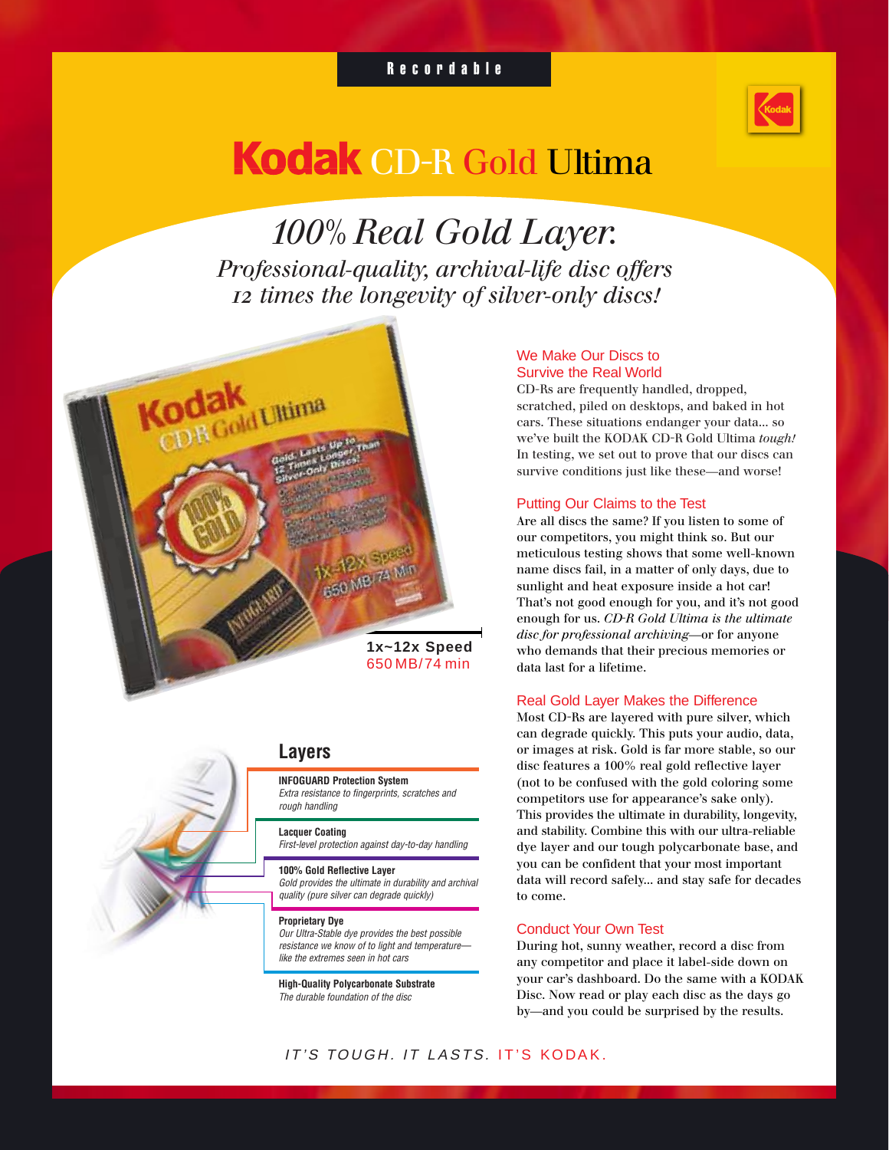## Recordable



# Kodak CD-R Gold Ultima

*100% Real Gold Layer. Professional-quality, archival-life disc offers 12 times the longevity of silver-only discs!*



## **Layers**

**INFOGUARD Protection System** Extra resistance to fingerprints, scratches and rough handling

**Lacquer Coating**

First-level protection against day-to-day handling

**100% Gold Reflective Layer**

Gold provides the ultimate in durability and archival quality (pure silver can degrade quickly)

#### **Proprietary Dye**

Our Ultra-Stable dye provides the best possible resistance we know of to light and temperature like the extremes seen in hot cars

**High-Quality Polycarbonate Substrate** The durable foundation of the disc

#### We Make Our Discs to Survive the Real World

CD-Rs are frequently handled, dropped, scratched, piled on desktops, and baked in hot cars. These situations endanger your data... so we've built the KODAK CD-R Gold Ultima *tough!* In testing, we set out to prove that our discs can survive conditions just like these—and worse!

#### Putting Our Claims to the Test

Are all discs the same? If you listen to some of our competitors, you might think so. But our meticulous testing shows that some well-known name discs fail, in a matter of only days, due to sunlight and heat exposure inside a hot car! That's not good enough for you, and it's not good enough for us. *CD-R Gold Ultima is the ultimate disc for professional archiving*—or for anyone who demands that their precious memories or data last for a lifetime.

#### Real Gold Layer Makes the Difference

Most CD-Rs are layered with pure silver, which can degrade quickly. This puts your audio, data, or images at risk. Gold is far more stable, so our disc features a 100% real gold reflective layer (not to be confused with the gold coloring some competitors use for appearance's sake only). This provides the ultimate in durability, longevity, and stability. Combine this with our ultra-reliable dye layer and our tough polycarbonate base, and you can be confident that your most important data will record safely... and stay safe for decades to come.

### Conduct Your Own Test

During hot, sunny weather, record a disc from any competitor and place it label-side down on your car's dashboard. Do the same with a KODAK Disc. Now read or play each disc as the days go by—and you could be surprised by the results.

IT'S TOUGH. IT LASTS. IT'S KODAK.